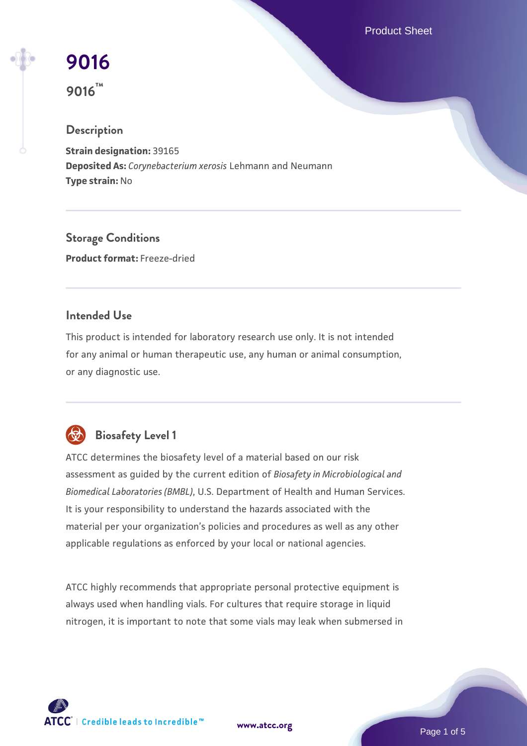Product Sheet

# **[9016](https://www.atcc.org/products/9016)**

**9016™**

# **Description**

**Strain designation:** 39165 **Deposited As:** *Corynebacterium xerosis* Lehmann and Neumann **Type strain:** No

**Storage Conditions Product format:** Freeze-dried

# **Intended Use**

This product is intended for laboratory research use only. It is not intended for any animal or human therapeutic use, any human or animal consumption, or any diagnostic use.



# **Biosafety Level 1**

ATCC determines the biosafety level of a material based on our risk assessment as guided by the current edition of *Biosafety in Microbiological and Biomedical Laboratories (BMBL)*, U.S. Department of Health and Human Services. It is your responsibility to understand the hazards associated with the material per your organization's policies and procedures as well as any other applicable regulations as enforced by your local or national agencies.

ATCC highly recommends that appropriate personal protective equipment is always used when handling vials. For cultures that require storage in liquid nitrogen, it is important to note that some vials may leak when submersed in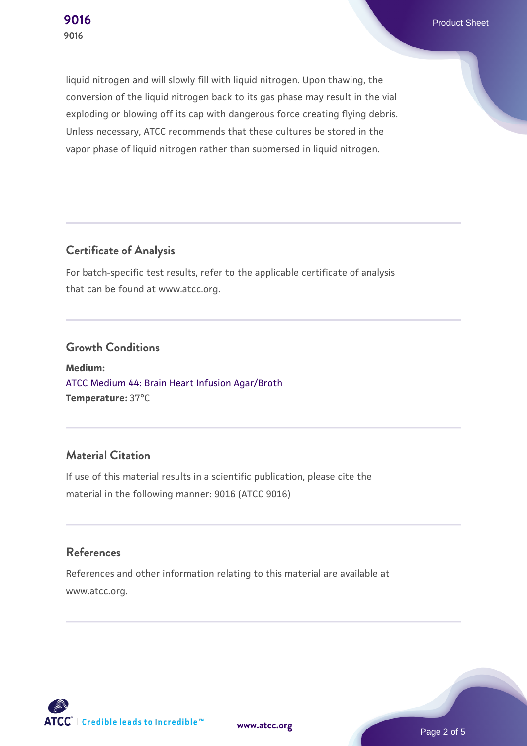liquid nitrogen and will slowly fill with liquid nitrogen. Upon thawing, the conversion of the liquid nitrogen back to its gas phase may result in the vial exploding or blowing off its cap with dangerous force creating flying debris. Unless necessary, ATCC recommends that these cultures be stored in the vapor phase of liquid nitrogen rather than submersed in liquid nitrogen.

### **Certificate of Analysis**

For batch-specific test results, refer to the applicable certificate of analysis that can be found at www.atcc.org.

#### **Growth Conditions**

**Medium:**  [ATCC Medium 44: Brain Heart Infusion Agar/Broth](https://www.atcc.org/-/media/product-assets/documents/microbial-media-formulations/4/4/atcc-medium-44.pdf?rev=ce06ac4e5438493b896cd46c7d875629) **Temperature:** 37°C

# **Material Citation**

If use of this material results in a scientific publication, please cite the material in the following manner: 9016 (ATCC 9016)

#### **References**

References and other information relating to this material are available at www.atcc.org.



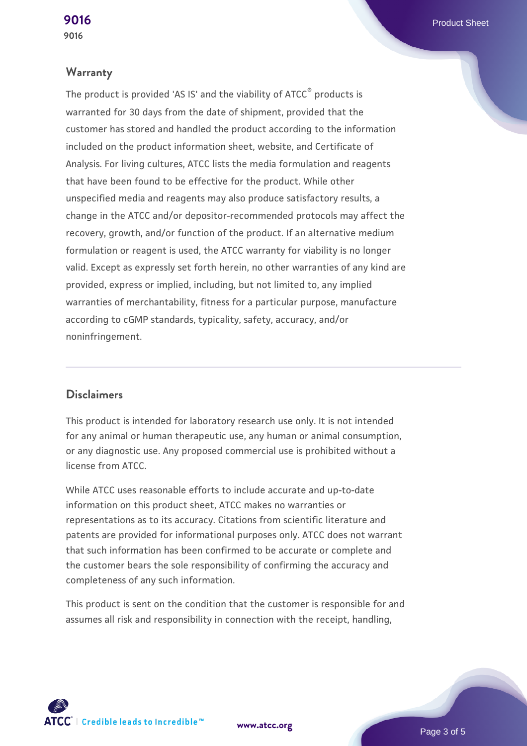#### **Warranty**

The product is provided 'AS IS' and the viability of ATCC® products is warranted for 30 days from the date of shipment, provided that the customer has stored and handled the product according to the information included on the product information sheet, website, and Certificate of Analysis. For living cultures, ATCC lists the media formulation and reagents that have been found to be effective for the product. While other unspecified media and reagents may also produce satisfactory results, a change in the ATCC and/or depositor-recommended protocols may affect the recovery, growth, and/or function of the product. If an alternative medium formulation or reagent is used, the ATCC warranty for viability is no longer valid. Except as expressly set forth herein, no other warranties of any kind are provided, express or implied, including, but not limited to, any implied warranties of merchantability, fitness for a particular purpose, manufacture according to cGMP standards, typicality, safety, accuracy, and/or noninfringement.

### **Disclaimers**

This product is intended for laboratory research use only. It is not intended for any animal or human therapeutic use, any human or animal consumption, or any diagnostic use. Any proposed commercial use is prohibited without a license from ATCC.

While ATCC uses reasonable efforts to include accurate and up-to-date information on this product sheet, ATCC makes no warranties or representations as to its accuracy. Citations from scientific literature and patents are provided for informational purposes only. ATCC does not warrant that such information has been confirmed to be accurate or complete and the customer bears the sole responsibility of confirming the accuracy and completeness of any such information.

This product is sent on the condition that the customer is responsible for and assumes all risk and responsibility in connection with the receipt, handling,



**[www.atcc.org](http://www.atcc.org)**

Page 3 of 5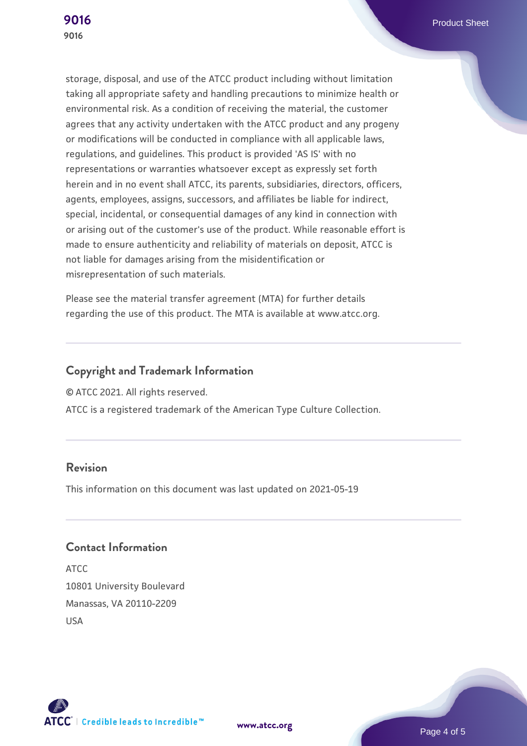storage, disposal, and use of the ATCC product including without limitation taking all appropriate safety and handling precautions to minimize health or environmental risk. As a condition of receiving the material, the customer agrees that any activity undertaken with the ATCC product and any progeny or modifications will be conducted in compliance with all applicable laws, regulations, and guidelines. This product is provided 'AS IS' with no representations or warranties whatsoever except as expressly set forth herein and in no event shall ATCC, its parents, subsidiaries, directors, officers, agents, employees, assigns, successors, and affiliates be liable for indirect, special, incidental, or consequential damages of any kind in connection with or arising out of the customer's use of the product. While reasonable effort is made to ensure authenticity and reliability of materials on deposit, ATCC is not liable for damages arising from the misidentification or

misrepresentation of such materials.

Please see the material transfer agreement (MTA) for further details regarding the use of this product. The MTA is available at www.atcc.org.

# **Copyright and Trademark Information**

© ATCC 2021. All rights reserved.

ATCC is a registered trademark of the American Type Culture Collection.

# **Revision**

This information on this document was last updated on 2021-05-19

# **Contact Information**

ATCC 10801 University Boulevard Manassas, VA 20110-2209 USA